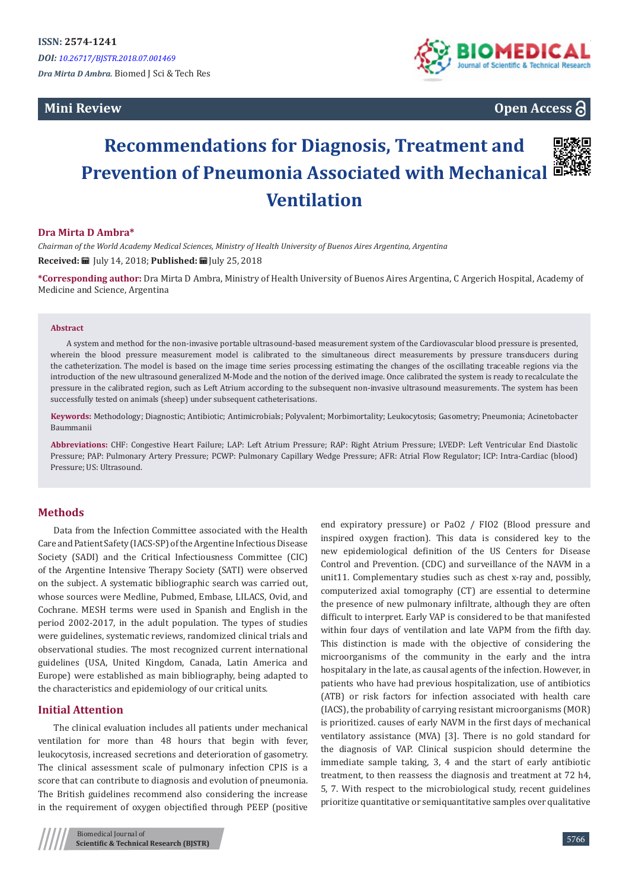**Mini Review** 



# **Open Access**

# **Recommendations for Diagnosis, Treatment and Prevention of Pneumonia Associated with Mechanical Ventilation**



### **Dra Mirta D Ambra\***

*Chairman of the World Academy Medical Sciences, Ministry of Health University of Buenos Aires Argentina, Argentina* **Received:** July 14, 2018; **Published:** July 25, 2018

**\*Corresponding author:** Dra Mirta D Ambra, Ministry of Health University of Buenos Aires Argentina, C Argerich Hospital, Academy of Medicine and Science, Argentina

#### **Abstract**

A system and method for the non-invasive portable ultrasound-based measurement system of the Cardiovascular blood pressure is presented, wherein the blood pressure measurement model is calibrated to the simultaneous direct measurements by pressure transducers during the catheterization. The model is based on the image time series processing estimating the changes of the oscillating traceable regions via the introduction of the new ultrasound generalized M-Mode and the notion of the derived image. Once calibrated the system is ready to recalculate the pressure in the calibrated region, such as Left Atrium according to the subsequent non-invasive ultrasound measurements. The system has been successfully tested on animals (sheep) under subsequent catheterisations.

**Keywords:** Methodology; Diagnostic; Antibiotic; Antimicrobials; Polyvalent; Morbimortality; Leukocytosis; Gasometry; Pneumonia; Acinetobacter Baummanii

**Abbreviations:** CHF: Congestive Heart Failure; LAP: Left Atrium Pressure; RAP: Right Atrium Pressure; LVEDP: Left Ventricular End Diastolic Pressure; PAP: Pulmonary Artery Pressure; PCWP: Pulmonary Capillary Wedge Pressure; AFR: Atrial Flow Regulator; ICP: Intra-Cardiac (blood) Pressure; US: Ultrasound.

# **Methods**

Data from the Infection Committee associated with the Health Care and Patient Safety (IACS-SP) of the Argentine Infectious Disease Society (SADI) and the Critical Infectiousness Committee (CIC) of the Argentine Intensive Therapy Society (SATI) were observed on the subject. A systematic bibliographic search was carried out, whose sources were Medline, Pubmed, Embase, LILACS, Ovid, and Cochrane. MESH terms were used in Spanish and English in the period 2002-2017, in the adult population. The types of studies were guidelines, systematic reviews, randomized clinical trials and observational studies. The most recognized current international guidelines (USA, United Kingdom, Canada, Latin America and Europe) were established as main bibliography, being adapted to the characteristics and epidemiology of our critical units.

#### **Initial Attention**

The clinical evaluation includes all patients under mechanical ventilation for more than 48 hours that begin with fever, leukocytosis, increased secretions and deterioration of gasometry. The clinical assessment scale of pulmonary infection CPIS is a score that can contribute to diagnosis and evolution of pneumonia. The British guidelines recommend also considering the increase in the requirement of oxygen objectified through PEEP (positive

Biomedical Journal of **Scientific & Technical Research (BJSTR)** end expiratory pressure) or PaO2 / FIO2 (Blood pressure and inspired oxygen fraction). This data is considered key to the new epidemiological definition of the US Centers for Disease Control and Prevention. (CDC) and surveillance of the NAVM in a unit11. Complementary studies such as chest x-ray and, possibly, computerized axial tomography (CT) are essential to determine the presence of new pulmonary infiltrate, although they are often difficult to interpret. Early VAP is considered to be that manifested within four days of ventilation and late VAPM from the fifth day. This distinction is made with the objective of considering the microorganisms of the community in the early and the intra hospitalary in the late, as causal agents of the infection. However, in patients who have had previous hospitalization, use of antibiotics (ATB) or risk factors for infection associated with health care (IACS), the probability of carrying resistant microorganisms (MOR) is prioritized. causes of early NAVM in the first days of mechanical ventilatory assistance (MVA) [3]. There is no gold standard for the diagnosis of VAP. Clinical suspicion should determine the immediate sample taking, 3, 4 and the start of early antibiotic treatment, to then reassess the diagnosis and treatment at 72 h4, 5, 7. With respect to the microbiological study, recent guidelines prioritize quantitative or semiquantitative samples over qualitative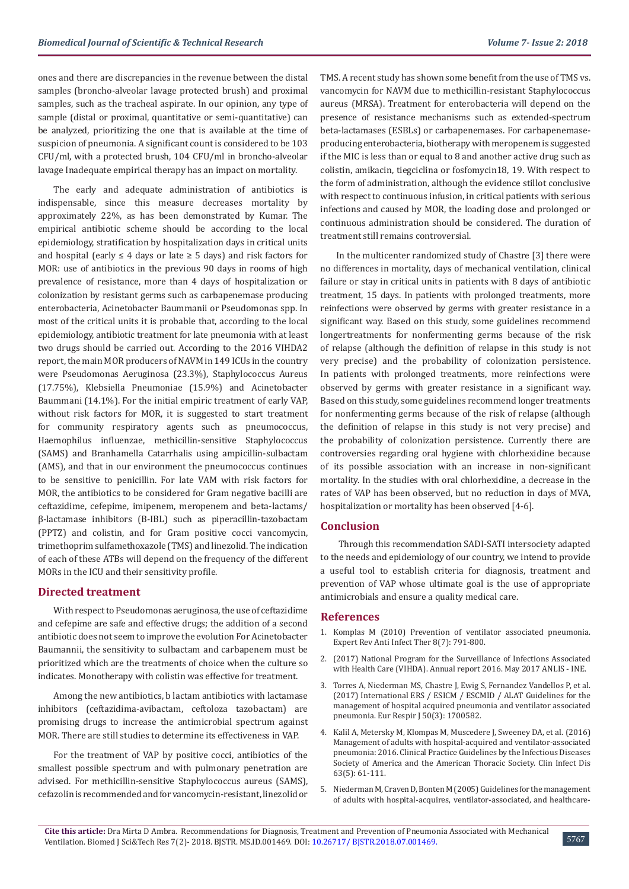ones and there are discrepancies in the revenue between the distal samples (broncho-alveolar lavage protected brush) and proximal samples, such as the tracheal aspirate. In our opinion, any type of sample (distal or proximal, quantitative or semi-quantitative) can be analyzed, prioritizing the one that is available at the time of suspicion of pneumonia. A significant count is considered to be 103 CFU/ml, with a protected brush, 104 CFU/ml in broncho-alveolar lavage Inadequate empirical therapy has an impact on mortality.

The early and adequate administration of antibiotics is indispensable, since this measure decreases mortality by approximately 22%, as has been demonstrated by Kumar. The empirical antibiotic scheme should be according to the local epidemiology, stratification by hospitalization days in critical units and hospital (early  $\leq 4$  days or late  $\geq 5$  days) and risk factors for MOR: use of antibiotics in the previous 90 days in rooms of high prevalence of resistance, more than 4 days of hospitalization or colonization by resistant germs such as carbapenemase producing enterobacteria, Acinetobacter Baummanii or Pseudomonas spp. In most of the critical units it is probable that, according to the local epidemiology, antibiotic treatment for late pneumonia with at least two drugs should be carried out. According to the 2016 VIHDA2 report, the main MOR producers of NAVM in 149 ICUs in the country were Pseudomonas Aeruginosa (23.3%), Staphylococcus Aureus (17.75%), Klebsiella Pneumoniae (15.9%) and Acinetobacter Baummani (14.1%). For the initial empiric treatment of early VAP, without risk factors for MOR, it is suggested to start treatment for community respiratory agents such as pneumococcus, Haemophilus influenzae, methicillin-sensitive Staphylococcus (SAMS) and Branhamella Catarrhalis using ampicillin-sulbactam (AMS), and that in our environment the pneumococcus continues to be sensitive to penicillin. For late VAM with risk factors for MOR, the antibiotics to be considered for Gram negative bacilli are ceftazidime, cefepime, imipenem, meropenem and beta-lactams/ β-lactamase inhibitors (B-IBL) such as piperacillin-tazobactam (PPTZ) and colistin, and for Gram positive cocci vancomycin, trimethoprim sulfamethoxazole (TMS) and linezolid. The indication of each of these ATBs will depend on the frequency of the different MORs in the ICU and their sensitivity profile.

#### **Directed treatment**

With respect to Pseudomonas aeruginosa, the use of ceftazidime and cefepime are safe and effective drugs; the addition of a second antibiotic does not seem to improve the evolution For Acinetobacter Baumannii, the sensitivity to sulbactam and carbapenem must be prioritized which are the treatments of choice when the culture so indicates. Monotherapy with colistin was effective for treatment.

Among the new antibiotics, b lactam antibiotics with lactamase inhibitors (ceftazidima-avibactam, ceftoloza tazobactam) are promising drugs to increase the antimicrobial spectrum against MOR. There are still studies to determine its effectiveness in VAP.

For the treatment of VAP by positive cocci, antibiotics of the smallest possible spectrum and with pulmonary penetration are advised. For methicillin-sensitive Staphylococcus aureus (SAMS), cefazolin is recommended and for vancomycin-resistant, linezolid or TMS. A recent study has shown some benefit from the use of TMS vs. vancomycin for NAVM due to methicillin-resistant Staphylococcus aureus (MRSA). Treatment for enterobacteria will depend on the presence of resistance mechanisms such as extended-spectrum beta-lactamases (ESBLs) or carbapenemases. For carbapenemaseproducing enterobacteria, biotherapy with meropenem is suggested if the MIC is less than or equal to 8 and another active drug such as colistin, amikacin, tiegciclina or fosfomycin18, 19. With respect to the form of administration, although the evidence stillot conclusive with respect to continuous infusion, in critical patients with serious infections and caused by MOR, the loading dose and prolonged or continuous administration should be considered. The duration of treatment still remains controversial.

In the multicenter randomized study of Chastre [3] there were no differences in mortality, days of mechanical ventilation, clinical failure or stay in critical units in patients with 8 days of antibiotic treatment, 15 days. In patients with prolonged treatments, more reinfections were observed by germs with greater resistance in a significant way. Based on this study, some guidelines recommend longertreatments for nonfermenting germs because of the risk of relapse (although the definition of relapse in this study is not very precise) and the probability of colonization persistence. In patients with prolonged treatments, more reinfections were observed by germs with greater resistance in a significant way. Based on this study, some guidelines recommend longer treatments for nonfermenting germs because of the risk of relapse (although the definition of relapse in this study is not very precise) and the probability of colonization persistence. Currently there are controversies regarding oral hygiene with chlorhexidine because of its possible association with an increase in non-significant mortality. In the studies with oral chlorhexidine, a decrease in the rates of VAP has been observed, but no reduction in days of MVA, hospitalization or mortality has been observed [4-6].

#### **Conclusion**

 Through this recommendation SADI-SATI intersociety adapted to the needs and epidemiology of our country, we intend to provide a useful tool to establish criteria for diagnosis, treatment and prevention of VAP whose ultimate goal is the use of appropriate antimicrobials and ensure a quality medical care.

#### **References**

- 1. [Komplas M \(2010\) Prevention of ventilator associated pneumonia.](https://www.ncbi.nlm.nih.gov/pubmed/20586564) [Expert Rev Anti Infect Ther 8\(7\): 791-800.](https://www.ncbi.nlm.nih.gov/pubmed/20586564)
- 2. [\(2017\) National Program for the Surveillance of Infections Associated](http://codeinep.org/wp-content/uploads/2017/11/Manual-de-VIGILANCIA-VIHDA-2015.pdf) [with Health Care \(VIHDA\). Annual report 2016. May 2017 ANLIS - INE.](http://codeinep.org/wp-content/uploads/2017/11/Manual-de-VIGILANCIA-VIHDA-2015.pdf)
- 3. [Torres A, Niederman MS, Chastre J, Ewig S, Fernandez Vandellos P, et al.](https://www.ncbi.nlm.nih.gov/pubmed/28890434) [\(2017\) International ERS / ESICM / ESCMID / ALAT Guidelines for the](https://www.ncbi.nlm.nih.gov/pubmed/28890434) [management of hospital acquired pneumonia and ventilator associated](https://www.ncbi.nlm.nih.gov/pubmed/28890434) [pneumonia. Eur Respir J 50\(3\): 1700582.](https://www.ncbi.nlm.nih.gov/pubmed/28890434)
- 4. [Kalil A, Metersky M, Klompas M, Muscedere J, Sweeney DA, et al. \(2016\)](https://www.ncbi.nlm.nih.gov/pubmed/27418577) [Management of adults with hospital-acquired and ventilator-associated](https://www.ncbi.nlm.nih.gov/pubmed/27418577) [pneumonia: 2016. Clinical Practice Guidelines by the Infectious Diseases](https://www.ncbi.nlm.nih.gov/pubmed/27418577) [Society of America and the American Thoracic Society. Clin Infect Dis](https://www.ncbi.nlm.nih.gov/pubmed/27418577) [63\(5\): 61-111.](https://www.ncbi.nlm.nih.gov/pubmed/27418577)
- 5. [Niederman M, Craven D, Bonten M \(2005\) Guidelines for the management](https://www.ncbi.nlm.nih.gov/pubmed/15699079) [of adults with hospital-acquires, ventilator-associated, and healthcare-](https://www.ncbi.nlm.nih.gov/pubmed/15699079)